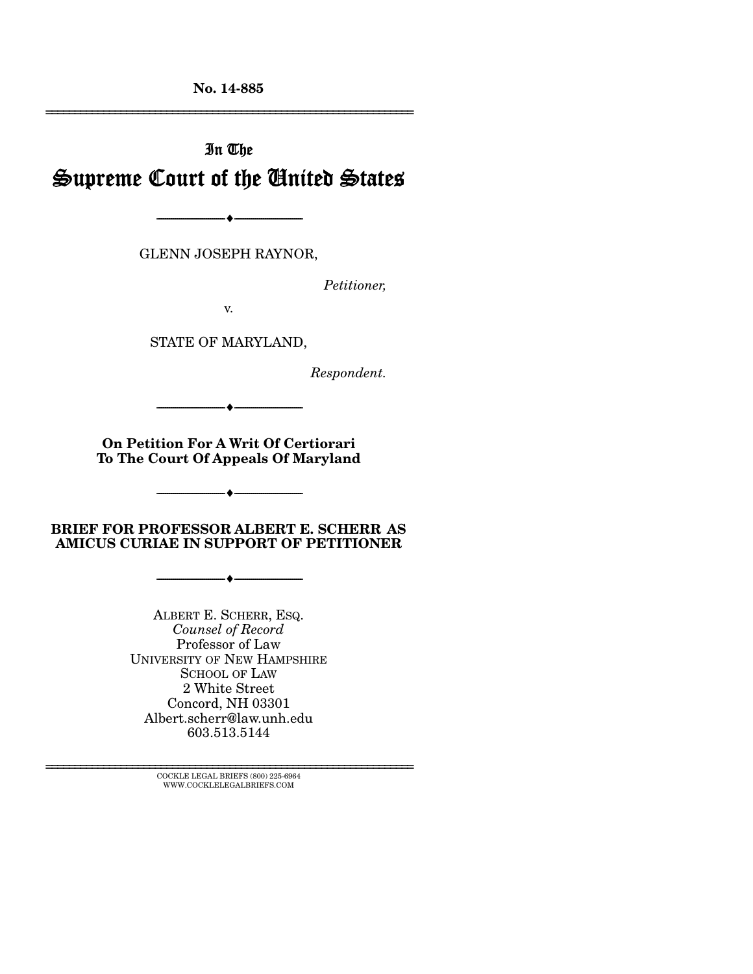**No. 14-885** 

# In The Supreme Court of the United States

GLENN JOSEPH RAYNOR,

--------------------------------- ---------------------------------

*Petitioner,* 

================================================================

v.

STATE OF MARYLAND,

*Respondent.* 

**On Petition For A Writ Of Certiorari To The Court Of Appeals Of Maryland** 

--------------------------------- ---------------------------------

--------------------------------- ---------------------------------

**BRIEF FOR PROFESSOR ALBERT E. SCHERR AS AMICUS CURIAE IN SUPPORT OF PETITIONER** 

--------------------------------- ---------------------------------

ALBERT E. SCHERR, ESQ. *Counsel of Record*  Professor of Law UNIVERSITY OF NEW HAMPSHIRE SCHOOL OF LAW 2 White Street Concord, NH 03301 Albert.scherr@law.unh.edu 603.513.5144

================================================================ COCKLE LEGAL BRIEFS (800) 225-6964 WWW.COCKLELEGALBRIEFS.COM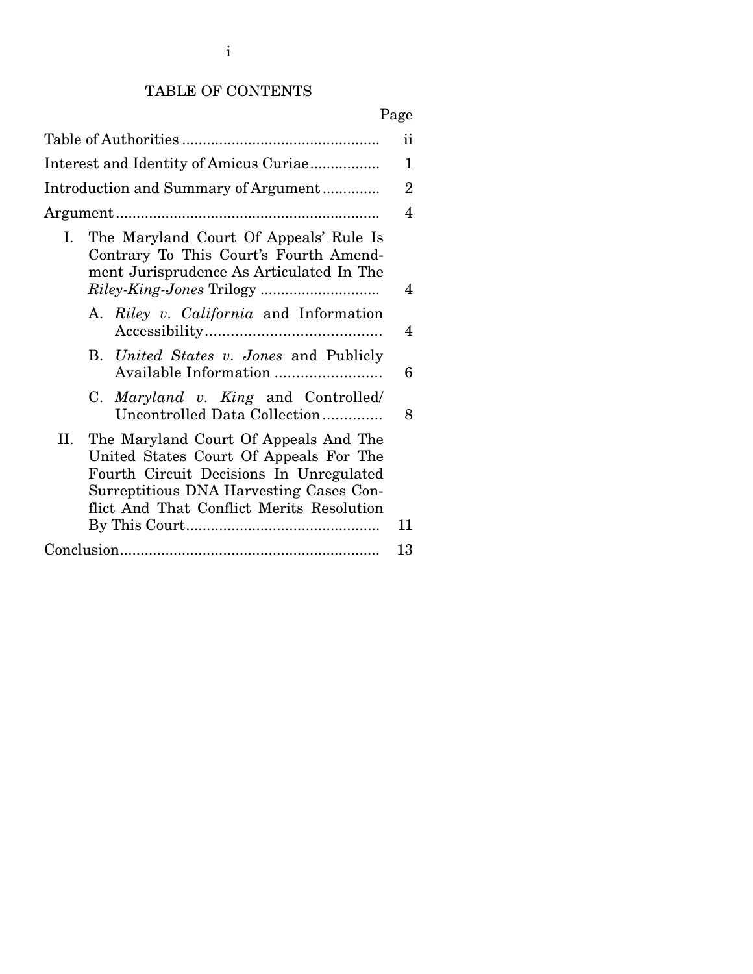# TABLE OF CONTENTS

|                                                                                                                                                                                                                           | ii             |
|---------------------------------------------------------------------------------------------------------------------------------------------------------------------------------------------------------------------------|----------------|
| Interest and Identity of Amicus Curiae                                                                                                                                                                                    | 1              |
| Introduction and Summary of Argument                                                                                                                                                                                      | $\overline{2}$ |
|                                                                                                                                                                                                                           | $\overline{4}$ |
| The Maryland Court Of Appeals' Rule Is<br>I.<br>Contrary To This Court's Fourth Amend-<br>ment Jurisprudence As Articulated In The<br><i>Riley-King-Jones Trilogy </i>                                                    | 4              |
| A. Riley v. California and Information                                                                                                                                                                                    | 4              |
| B. United States v. Jones and Publicly<br>Available Information                                                                                                                                                           | 6              |
| C. Maryland v. King and Controlled<br>Uncontrolled Data Collection                                                                                                                                                        | 8              |
| The Maryland Court Of Appeals And The<br>II.<br>United States Court Of Appeals For The<br>Fourth Circuit Decisions In Unregulated<br>Surreptitious DNA Harvesting Cases Con-<br>flict And That Conflict Merits Resolution | 11             |
|                                                                                                                                                                                                                           | 13             |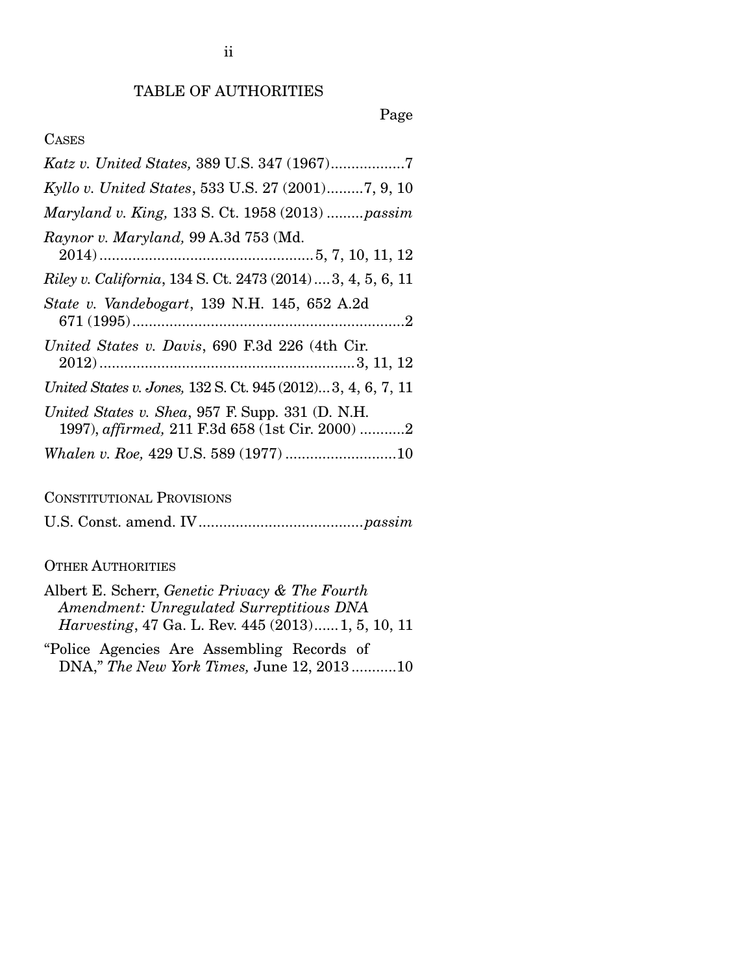# TABLE OF AUTHORITIES

### Page

# CASES

| Kyllo v. United States, 533 U.S. 27 (2001)7, 9, 10                                                  |
|-----------------------------------------------------------------------------------------------------|
| Maryland v. King, 133 S. Ct. 1958 (2013)  passim                                                    |
| Raynor v. Maryland, 99 A.3d 753 (Md.                                                                |
| <i>Riley v. California</i> , 134 S. Ct. 2473 (2014)3, 4, 5, 6, 11                                   |
| State v. Vandebogart, 139 N.H. 145, 652 A.2d                                                        |
| United States v. Davis, 690 F.3d 226 (4th Cir.                                                      |
| United States v. Jones, 132 S. Ct. 945 (2012)3, 4, 6, 7, 11                                         |
| United States v. Shea, 957 F. Supp. 331 (D. N.H.<br>1997), affirmed, 211 F.3d 658 (1st Cir. 2000) 2 |
|                                                                                                     |

# CONSTITUTIONAL PROVISIONS

U.S. Const. amend. IV ........................................ *passim*

### OTHER AUTHORITIES

| Albert E. Scherr, <i>Genetic Privacy &amp; The Fourth</i>  |  |
|------------------------------------------------------------|--|
| Amendment: Unregulated Surreptitious DNA                   |  |
| <i>Harvesting</i> , 47 Ga. L. Rev. 445 (2013) 1, 5, 10, 11 |  |

"Police Agencies Are Assembling Records of DNA," *The New York Times,* June 12, 2013 ........... 10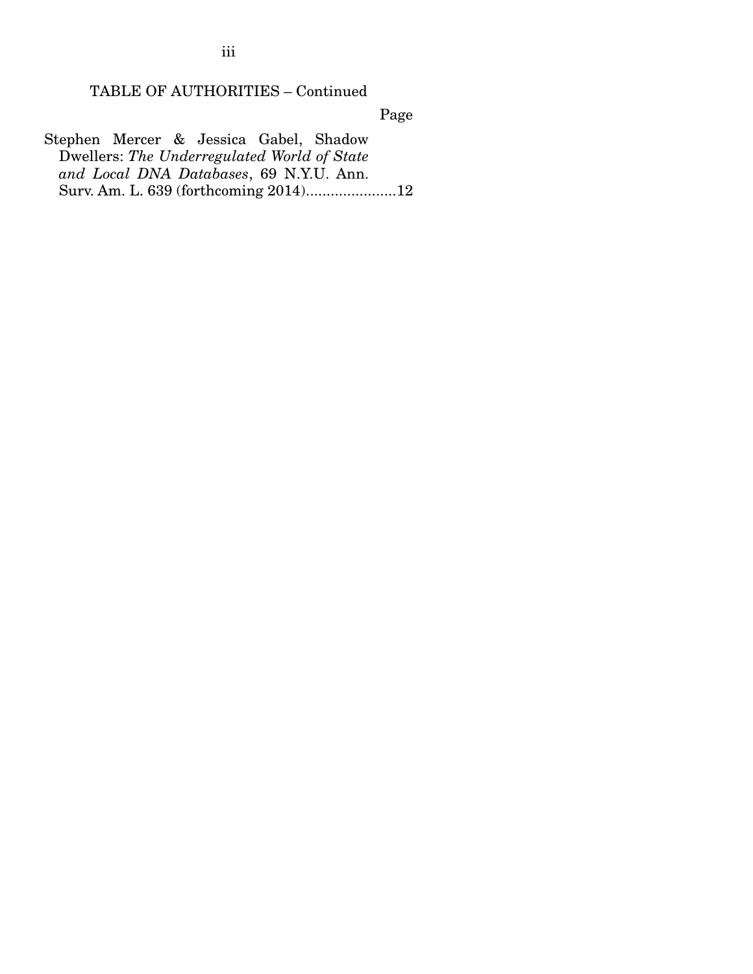TABLE OF AUTHORITIES – Continued

Page

Stephen Mercer & Jessica Gabel, Shadow Dwellers: *The Underregulated World of State and Local DNA Databases*, 69 N.Y.U. Ann. Surv. Am. L. 639 (forthcoming 2014) ...................... 12

iii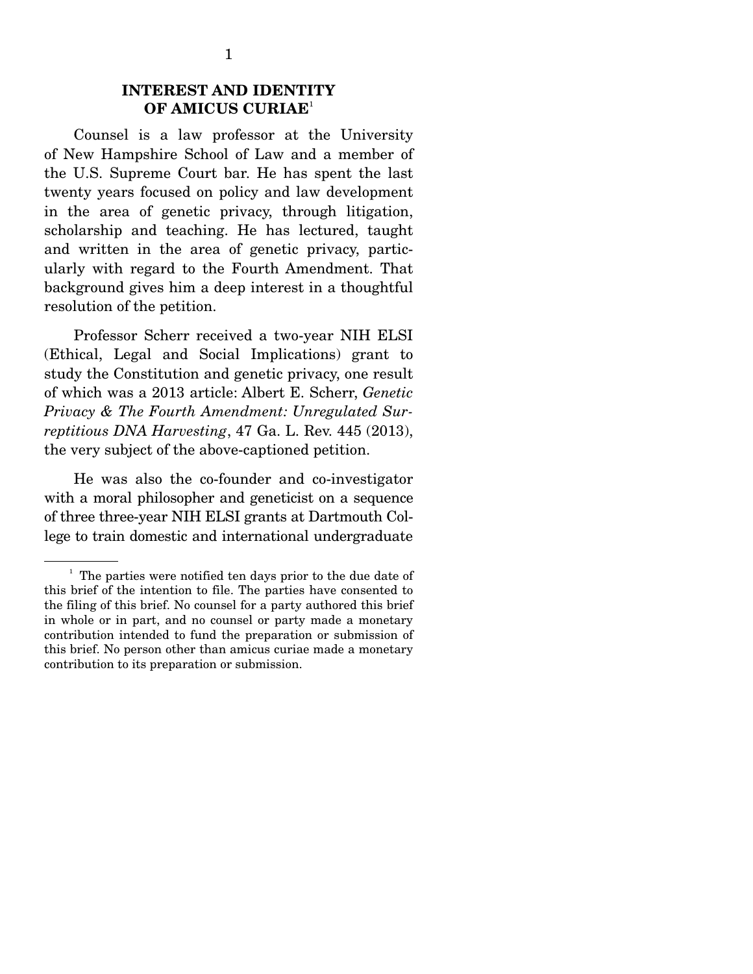### **INTEREST AND IDENTITY OF AMICUS CURIAE**<sup>1</sup>

 Counsel is a law professor at the University of New Hampshire School of Law and a member of the U.S. Supreme Court bar. He has spent the last twenty years focused on policy and law development in the area of genetic privacy, through litigation, scholarship and teaching. He has lectured, taught and written in the area of genetic privacy, particularly with regard to the Fourth Amendment. That background gives him a deep interest in a thoughtful resolution of the petition.

 Professor Scherr received a two-year NIH ELSI (Ethical, Legal and Social Implications) grant to study the Constitution and genetic privacy, one result of which was a 2013 article: Albert E. Scherr, *Genetic Privacy & The Fourth Amendment: Unregulated Surreptitious DNA Harvesting*, 47 Ga. L. Rev. 445 (2013), the very subject of the above-captioned petition.

 He was also the co-founder and co-investigator with a moral philosopher and geneticist on a sequence of three three-year NIH ELSI grants at Dartmouth College to train domestic and international undergraduate

<sup>&</sup>lt;sup>1</sup> The parties were notified ten days prior to the due date of this brief of the intention to file. The parties have consented to the filing of this brief. No counsel for a party authored this brief in whole or in part, and no counsel or party made a monetary contribution intended to fund the preparation or submission of this brief. No person other than amicus curiae made a monetary contribution to its preparation or submission.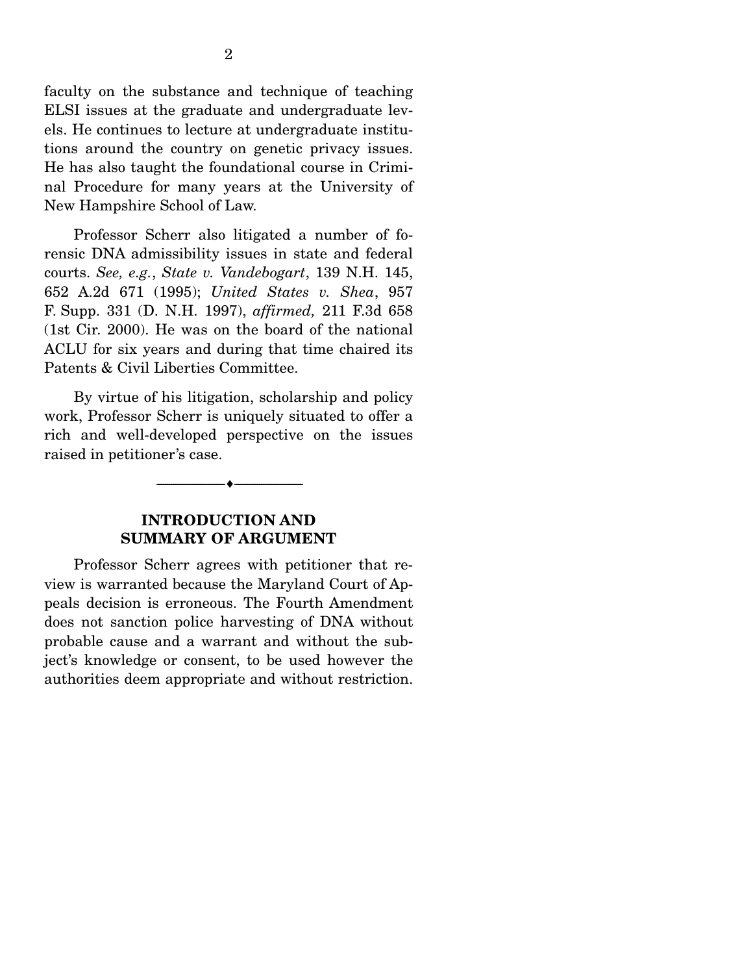faculty on the substance and technique of teaching ELSI issues at the graduate and undergraduate levels. He continues to lecture at undergraduate institutions around the country on genetic privacy issues. He has also taught the foundational course in Criminal Procedure for many years at the University of New Hampshire School of Law.

 Professor Scherr also litigated a number of forensic DNA admissibility issues in state and federal courts. *See, e.g.*, *State v. Vandebogart*, 139 N.H. 145, 652 A.2d 671 (1995); *United States v. Shea*, 957 F. Supp. 331 (D. N.H. 1997), *affirmed,* 211 F.3d 658 (1st Cir. 2000). He was on the board of the national ACLU for six years and during that time chaired its Patents & Civil Liberties Committee.

 By virtue of his litigation, scholarship and policy work, Professor Scherr is uniquely situated to offer a rich and well-developed perspective on the issues raised in petitioner's case.



### **INTRODUCTION AND SUMMARY OF ARGUMENT**

 Professor Scherr agrees with petitioner that review is warranted because the Maryland Court of Appeals decision is erroneous. The Fourth Amendment does not sanction police harvesting of DNA without probable cause and a warrant and without the subject's knowledge or consent, to be used however the authorities deem appropriate and without restriction.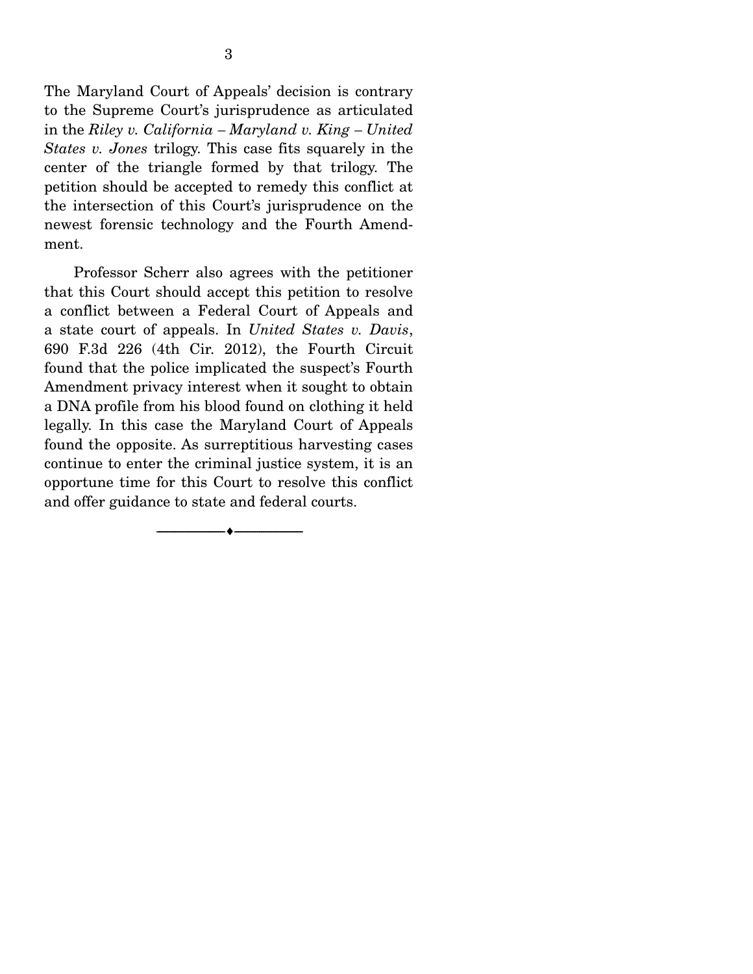The Maryland Court of Appeals' decision is contrary to the Supreme Court's jurisprudence as articulated in the *Riley v. California – Maryland v. King – United States v. Jones* trilogy. This case fits squarely in the center of the triangle formed by that trilogy. The petition should be accepted to remedy this conflict at the intersection of this Court's jurisprudence on the newest forensic technology and the Fourth Amendment.

 Professor Scherr also agrees with the petitioner that this Court should accept this petition to resolve a conflict between a Federal Court of Appeals and a state court of appeals. In *United States v. Davis*, 690 F.3d 226 (4th Cir. 2012), the Fourth Circuit found that the police implicated the suspect's Fourth Amendment privacy interest when it sought to obtain a DNA profile from his blood found on clothing it held legally. In this case the Maryland Court of Appeals found the opposite. As surreptitious harvesting cases continue to enter the criminal justice system, it is an opportune time for this Court to resolve this conflict and offer guidance to state and federal courts.

 $-\bullet-$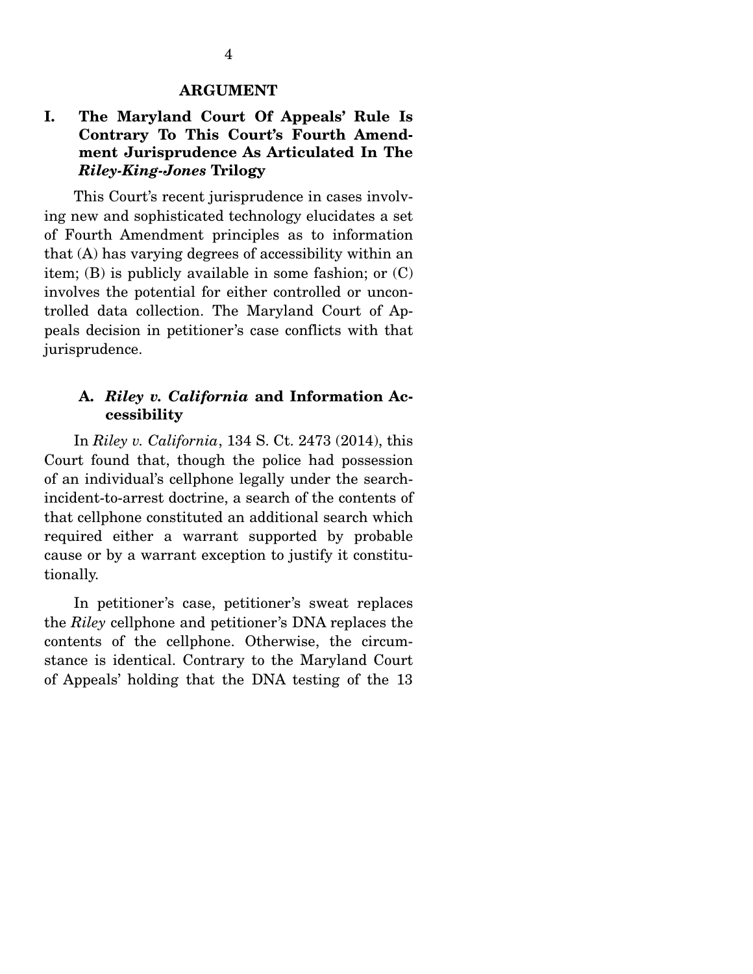#### **ARGUMENT**

# **I. The Maryland Court Of Appeals' Rule Is Contrary To This Court's Fourth Amendment Jurisprudence As Articulated In The**  *Riley-King-Jones* **Trilogy**

 This Court's recent jurisprudence in cases involving new and sophisticated technology elucidates a set of Fourth Amendment principles as to information that (A) has varying degrees of accessibility within an item; (B) is publicly available in some fashion; or (C) involves the potential for either controlled or uncontrolled data collection. The Maryland Court of Appeals decision in petitioner's case conflicts with that jurisprudence.

### **A.** *Riley v. California* **and Information Accessibility**

 In *Riley v. California*, 134 S. Ct. 2473 (2014), this Court found that, though the police had possession of an individual's cellphone legally under the searchincident-to-arrest doctrine, a search of the contents of that cellphone constituted an additional search which required either a warrant supported by probable cause or by a warrant exception to justify it constitutionally.

 In petitioner's case, petitioner's sweat replaces the *Riley* cellphone and petitioner's DNA replaces the contents of the cellphone. Otherwise, the circumstance is identical. Contrary to the Maryland Court of Appeals' holding that the DNA testing of the 13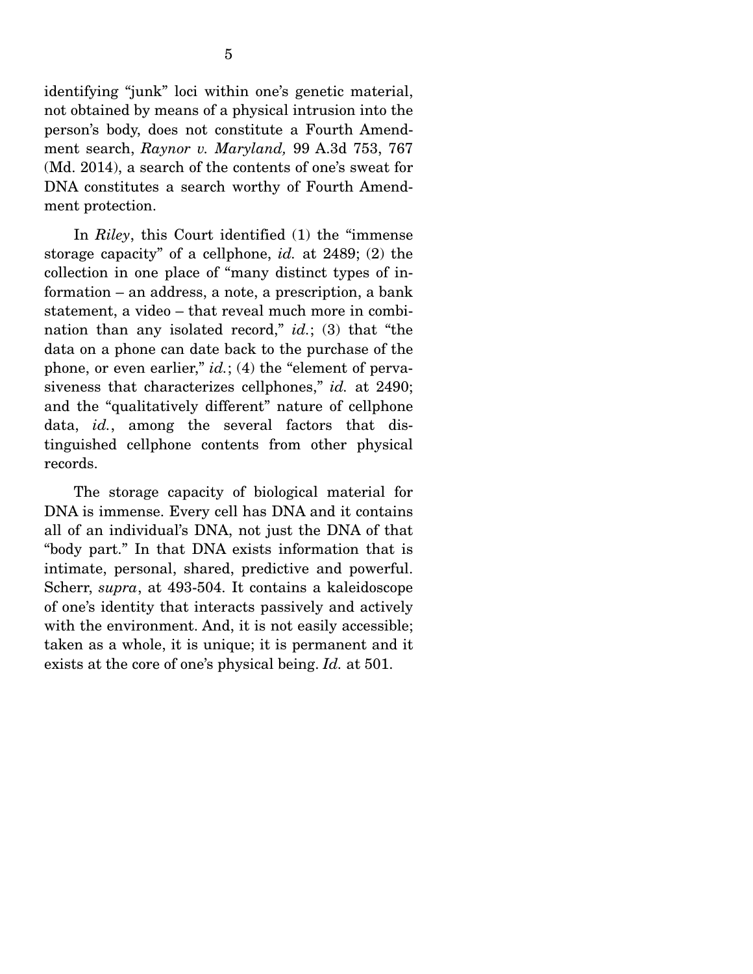identifying "junk" loci within one's genetic material, not obtained by means of a physical intrusion into the person's body, does not constitute a Fourth Amendment search, *Raynor v. Maryland,* 99 A.3d 753, 767 (Md. 2014), a search of the contents of one's sweat for DNA constitutes a search worthy of Fourth Amendment protection.

 In *Riley*, this Court identified (1) the "immense storage capacity" of a cellphone, *id.* at 2489; (2) the collection in one place of "many distinct types of information – an address, a note, a prescription, a bank statement, a video – that reveal much more in combination than any isolated record," *id.*; (3) that "the data on a phone can date back to the purchase of the phone, or even earlier," *id.*; (4) the "element of pervasiveness that characterizes cellphones," *id.* at 2490; and the "qualitatively different" nature of cellphone data, *id.*, among the several factors that distinguished cellphone contents from other physical records.

 The storage capacity of biological material for DNA is immense. Every cell has DNA and it contains all of an individual's DNA, not just the DNA of that "body part." In that DNA exists information that is intimate, personal, shared, predictive and powerful. Scherr, *supra*, at 493-504. It contains a kaleidoscope of one's identity that interacts passively and actively with the environment. And, it is not easily accessible; taken as a whole, it is unique; it is permanent and it exists at the core of one's physical being. *Id.* at 501.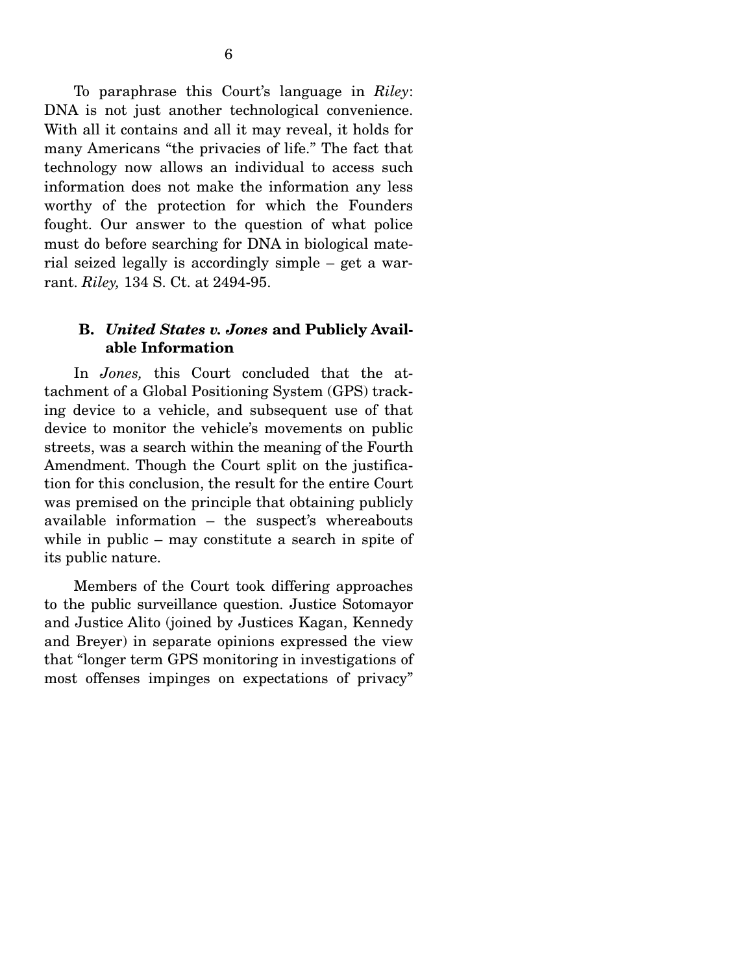To paraphrase this Court's language in *Riley*: DNA is not just another technological convenience. With all it contains and all it may reveal, it holds for many Americans "the privacies of life." The fact that technology now allows an individual to access such information does not make the information any less worthy of the protection for which the Founders fought. Our answer to the question of what police must do before searching for DNA in biological material seized legally is accordingly simple – get a warrant. *Riley,* 134 S. Ct. at 2494-95.

### **B.** *United States v. Jones* **and Publicly Available Information**

 In *Jones,* this Court concluded that the attachment of a Global Positioning System (GPS) tracking device to a vehicle, and subsequent use of that device to monitor the vehicle's movements on public streets, was a search within the meaning of the Fourth Amendment. Though the Court split on the justification for this conclusion, the result for the entire Court was premised on the principle that obtaining publicly available information – the suspect's whereabouts while in public – may constitute a search in spite of its public nature.

 Members of the Court took differing approaches to the public surveillance question. Justice Sotomayor and Justice Alito (joined by Justices Kagan, Kennedy and Breyer) in separate opinions expressed the view that "longer term GPS monitoring in investigations of most offenses impinges on expectations of privacy"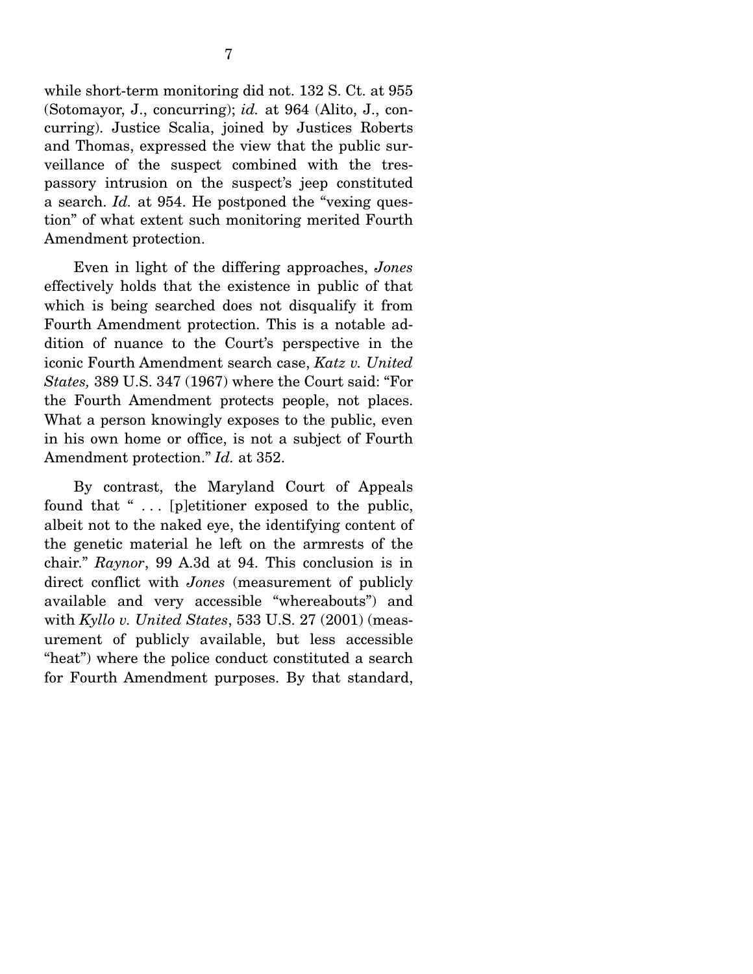while short-term monitoring did not. 132 S. Ct. at 955 (Sotomayor, J., concurring); *id.* at 964 (Alito, J., concurring). Justice Scalia, joined by Justices Roberts and Thomas, expressed the view that the public surveillance of the suspect combined with the trespassory intrusion on the suspect's jeep constituted a search. *Id.* at 954. He postponed the "vexing question" of what extent such monitoring merited Fourth Amendment protection.

 Even in light of the differing approaches, *Jones* effectively holds that the existence in public of that which is being searched does not disqualify it from Fourth Amendment protection. This is a notable addition of nuance to the Court's perspective in the iconic Fourth Amendment search case, *Katz v. United States,* 389 U.S. 347 (1967) where the Court said: "For the Fourth Amendment protects people, not places. What a person knowingly exposes to the public, even in his own home or office, is not a subject of Fourth Amendment protection." *Id.* at 352.

 By contrast, the Maryland Court of Appeals found that " ... [p]etitioner exposed to the public, albeit not to the naked eye, the identifying content of the genetic material he left on the armrests of the chair." *Raynor*, 99 A.3d at 94. This conclusion is in direct conflict with *Jones* (measurement of publicly available and very accessible "whereabouts") and with *Kyllo v. United States*, 533 U.S. 27 (2001) (measurement of publicly available, but less accessible "heat") where the police conduct constituted a search for Fourth Amendment purposes. By that standard,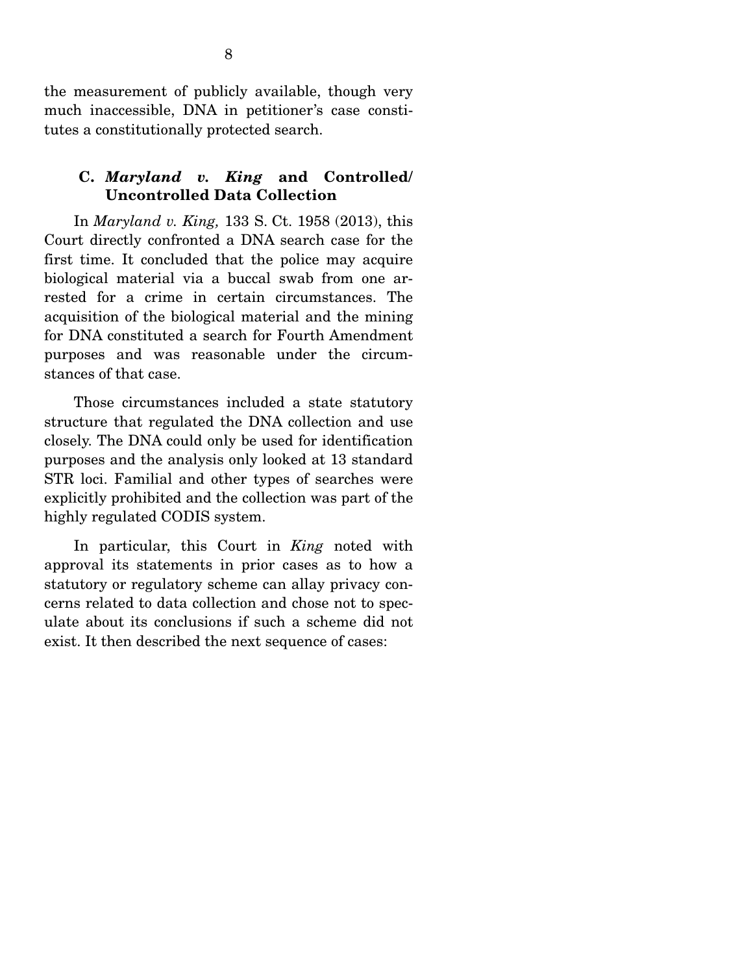the measurement of publicly available, though very much inaccessible, DNA in petitioner's case constitutes a constitutionally protected search.

# **C.** *Maryland v. King* **and Controlled/ Uncontrolled Data Collection**

 In *Maryland v. King,* 133 S. Ct. 1958 (2013), this Court directly confronted a DNA search case for the first time. It concluded that the police may acquire biological material via a buccal swab from one arrested for a crime in certain circumstances. The acquisition of the biological material and the mining for DNA constituted a search for Fourth Amendment purposes and was reasonable under the circumstances of that case.

 Those circumstances included a state statutory structure that regulated the DNA collection and use closely. The DNA could only be used for identification purposes and the analysis only looked at 13 standard STR loci. Familial and other types of searches were explicitly prohibited and the collection was part of the highly regulated CODIS system.

 In particular, this Court in *King* noted with approval its statements in prior cases as to how a statutory or regulatory scheme can allay privacy concerns related to data collection and chose not to speculate about its conclusions if such a scheme did not exist. It then described the next sequence of cases: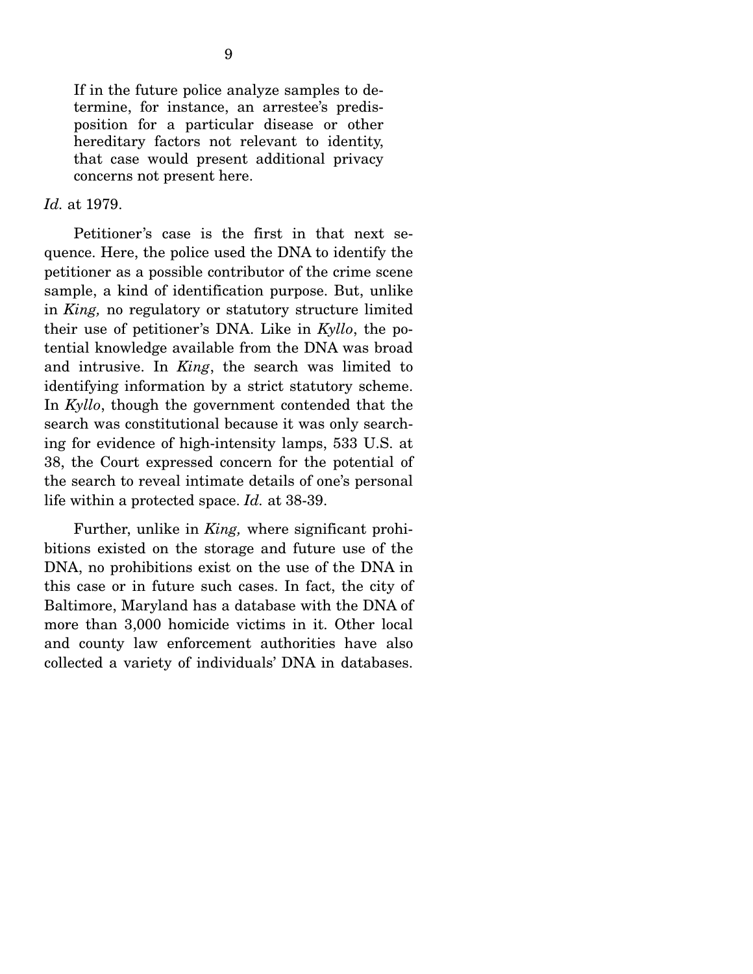If in the future police analyze samples to determine, for instance, an arrestee's predisposition for a particular disease or other hereditary factors not relevant to identity, that case would present additional privacy concerns not present here.

#### *Id.* at 1979.

 Petitioner's case is the first in that next sequence. Here, the police used the DNA to identify the petitioner as a possible contributor of the crime scene sample, a kind of identification purpose. But, unlike in *King,* no regulatory or statutory structure limited their use of petitioner's DNA. Like in *Kyllo*, the potential knowledge available from the DNA was broad and intrusive. In *King*, the search was limited to identifying information by a strict statutory scheme. In *Kyllo*, though the government contended that the search was constitutional because it was only searching for evidence of high-intensity lamps, 533 U.S. at 38, the Court expressed concern for the potential of the search to reveal intimate details of one's personal life within a protected space. *Id.* at 38-39.

 Further, unlike in *King,* where significant prohibitions existed on the storage and future use of the DNA, no prohibitions exist on the use of the DNA in this case or in future such cases. In fact, the city of Baltimore, Maryland has a database with the DNA of more than 3,000 homicide victims in it. Other local and county law enforcement authorities have also collected a variety of individuals' DNA in databases.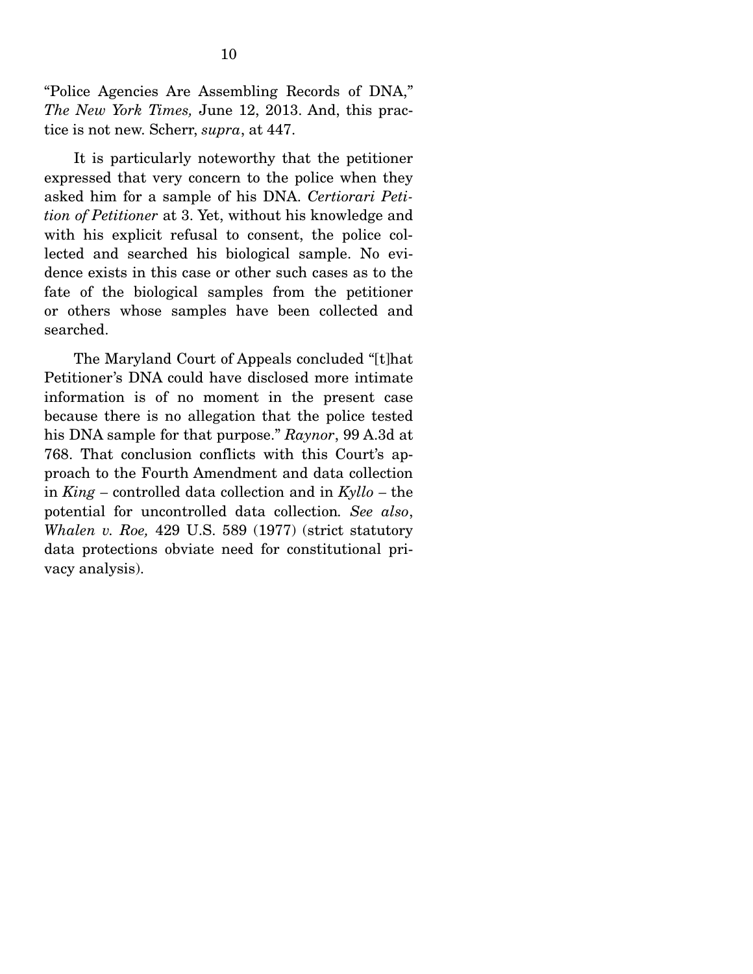"Police Agencies Are Assembling Records of DNA," *The New York Times,* June 12, 2013. And, this practice is not new. Scherr, *supra*, at 447.

 It is particularly noteworthy that the petitioner expressed that very concern to the police when they asked him for a sample of his DNA. *Certiorari Petition of Petitioner* at 3. Yet, without his knowledge and with his explicit refusal to consent, the police collected and searched his biological sample. No evidence exists in this case or other such cases as to the fate of the biological samples from the petitioner or others whose samples have been collected and searched.

 The Maryland Court of Appeals concluded "[t]hat Petitioner's DNA could have disclosed more intimate information is of no moment in the present case because there is no allegation that the police tested his DNA sample for that purpose." *Raynor*, 99 A.3d at 768. That conclusion conflicts with this Court's approach to the Fourth Amendment and data collection in *King –* controlled data collection and in *Kyllo –* the potential for uncontrolled data collection*. See also*, *Whalen v. Roe,* 429 U.S. 589 (1977) (strict statutory data protections obviate need for constitutional privacy analysis).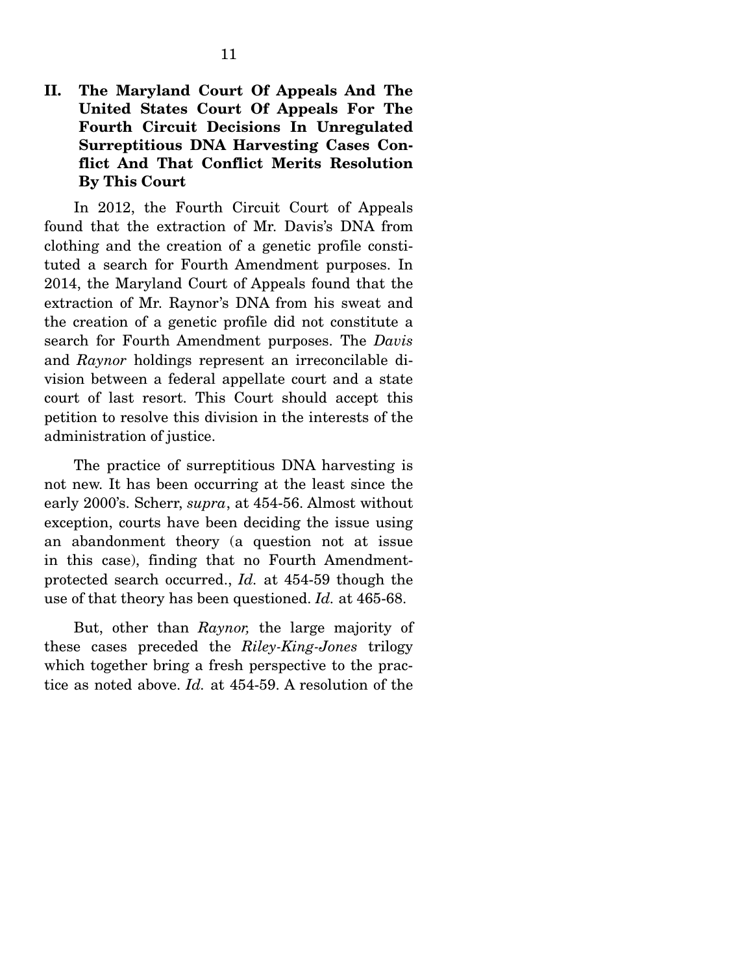# **II. The Maryland Court Of Appeals And The United States Court Of Appeals For The Fourth Circuit Decisions In Unregulated Surreptitious DNA Harvesting Cases Conflict And That Conflict Merits Resolution By This Court**

 In 2012, the Fourth Circuit Court of Appeals found that the extraction of Mr. Davis's DNA from clothing and the creation of a genetic profile constituted a search for Fourth Amendment purposes. In 2014, the Maryland Court of Appeals found that the extraction of Mr. Raynor's DNA from his sweat and the creation of a genetic profile did not constitute a search for Fourth Amendment purposes. The *Davis* and *Raynor* holdings represent an irreconcilable division between a federal appellate court and a state court of last resort. This Court should accept this petition to resolve this division in the interests of the administration of justice.

 The practice of surreptitious DNA harvesting is not new. It has been occurring at the least since the early 2000's. Scherr, *supra*, at 454-56. Almost without exception, courts have been deciding the issue using an abandonment theory (a question not at issue in this case), finding that no Fourth Amendmentprotected search occurred., *Id.* at 454-59 though the use of that theory has been questioned. *Id.* at 465-68.

 But, other than *Raynor,* the large majority of these cases preceded the *Riley-King-Jones* trilogy which together bring a fresh perspective to the practice as noted above. *Id.* at 454-59. A resolution of the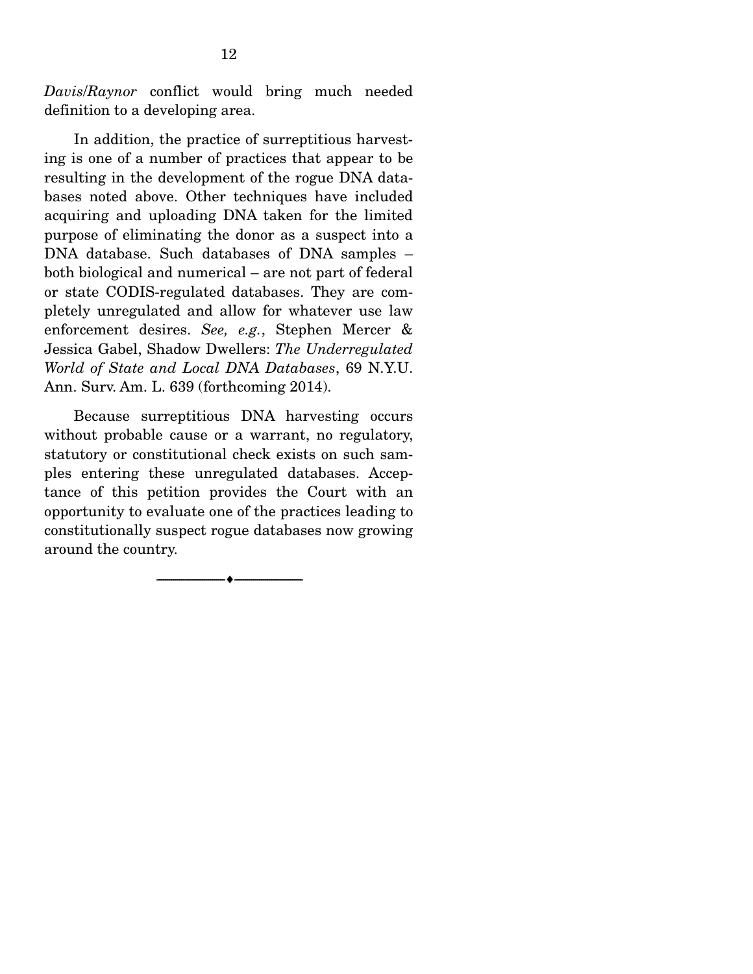*Davis*/*Raynor* conflict would bring much needed definition to a developing area.

 In addition, the practice of surreptitious harvesting is one of a number of practices that appear to be resulting in the development of the rogue DNA databases noted above. Other techniques have included acquiring and uploading DNA taken for the limited purpose of eliminating the donor as a suspect into a DNA database. Such databases of DNA samples – both biological and numerical – are not part of federal or state CODIS-regulated databases. They are completely unregulated and allow for whatever use law enforcement desires. *See, e.g.*, Stephen Mercer & Jessica Gabel, Shadow Dwellers: *The Underregulated World of State and Local DNA Databases*, 69 N.Y.U. Ann. Surv. Am. L. 639 (forthcoming 2014).

 Because surreptitious DNA harvesting occurs without probable cause or a warrant, no regulatory, statutory or constitutional check exists on such samples entering these unregulated databases. Acceptance of this petition provides the Court with an opportunity to evaluate one of the practices leading to constitutionally suspect rogue databases now growing around the country.

--------------------------------- ---------------------------------